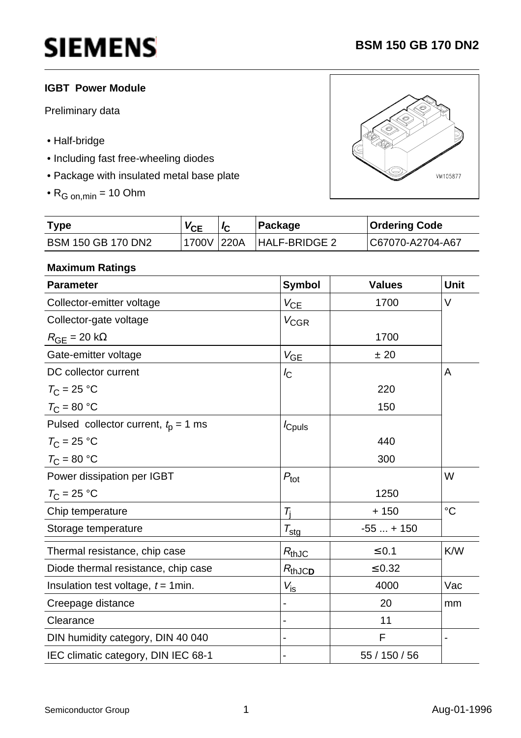## **IGBT Power Module**

Preliminary data

- Half-bridge
- Including fast free-wheeling diodes
- Package with insulated metal base plate
- $\bullet$  R<sub>G on,min</sub> = 10 Ohm



| <b>Type</b>        | $V_{CE}$   | Package              | <b>Ordering Code</b> |
|--------------------|------------|----------------------|----------------------|
| BSM 150 GB 170 DN2 | 1700V 220A | <b>HALF-BRIDGE 2</b> | C67070-A2704-A67     |

### **Maximum Ratings**

| <b>Symbol</b>    | <b>Values</b>           | <b>Unit</b>     |
|------------------|-------------------------|-----------------|
| $V_{CE}$         | 1700                    | V               |
| $V_{\text{CGR}}$ |                         |                 |
|                  | 1700                    |                 |
|                  | ± 20                    |                 |
| $I_{\rm C}$      |                         | A               |
|                  | 220                     |                 |
|                  | 150                     |                 |
| <i>c</i> puls    |                         |                 |
|                  | 440                     |                 |
|                  | 300                     |                 |
| $P_{\text{tot}}$ |                         | W               |
|                  | 1250                    |                 |
| $T_i$            | $+150$                  | $\rm ^{\circ}C$ |
| $T_{\text{stg}}$ | $-55 + 150$             |                 |
| $R_{thJC}$       | $\leq 0.1$              | K/W             |
|                  | $\leq 0.32$             |                 |
| $V_{\text{is}}$  | 4000                    | Vac             |
|                  | 20                      | mm              |
|                  | 11                      |                 |
|                  | F                       |                 |
|                  | 55 / 150 / 56           |                 |
|                  | $V_{GE}$<br>$R_{thJCD}$ |                 |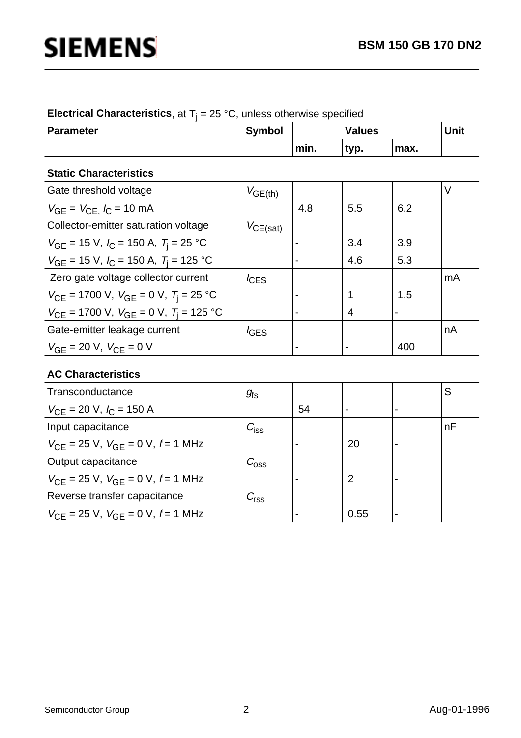|  | <b>Electrical Characteristics</b> , at $T_i = 25 \text{ °C}$ , unless otherwise specified |
|--|-------------------------------------------------------------------------------------------|
|--|-------------------------------------------------------------------------------------------|

| <b>Parameter</b>                                                         | <b>Symbol</b>    | <b>Values</b>  |      |                | <b>Unit</b> |
|--------------------------------------------------------------------------|------------------|----------------|------|----------------|-------------|
|                                                                          |                  | min.           | typ. | max.           |             |
| <b>Static Characteristics</b>                                            |                  |                |      |                |             |
| Gate threshold voltage                                                   | $V_{GE(th)}$     |                |      |                | $\vee$      |
| $V_{GE} = V_{CE}$ , $I_C = 10$ mA                                        |                  | 4.8            | 5.5  | 6.2            |             |
| Collector-emitter saturation voltage                                     | $V_{CE(sat)}$    |                |      |                |             |
| $V_{GE}$ = 15 V, $I_C$ = 150 A, $T_i$ = 25 °C                            |                  | $\blacksquare$ | 3.4  | 3.9            |             |
| $V_{GE}$ = 15 V, $I_C$ = 150 A, $T_i$ = 125 °C                           |                  |                | 4.6  | 5.3            |             |
| Zero gate voltage collector current                                      | $I_{\text{CES}}$ |                |      |                | mA          |
| $V_{\text{CE}}$ = 1700 V, $V_{\text{GE}}$ = 0 V, $T_{\text{i}}$ = 25 °C  |                  |                |      | 1.5            |             |
| $V_{\text{CF}}$ = 1700 V, $V_{\text{GF}}$ = 0 V, $T_{\text{i}}$ = 125 °C |                  |                | 4    | $\blacksquare$ |             |
| Gate-emitter leakage current                                             | $I_{\text{GES}}$ |                |      |                | nA          |
| $V_{GF}$ = 20 V, $V_{CE}$ = 0 V                                          |                  | -              |      | 400            |             |

### **AC Characteristics**

| Transconductance                                           | $g_{\rm fs}$     |                          |                |                | S  |
|------------------------------------------------------------|------------------|--------------------------|----------------|----------------|----|
| $V_{\text{CE}}$ = 20 V, $I_{\text{C}}$ = 150 A             |                  | 54                       |                | $\blacksquare$ |    |
| Input capacitance                                          | $C_{\text{iss}}$ |                          |                |                | nF |
| $V_{\text{CF}}$ = 25 V, $V_{\text{GF}}$ = 0 V, f = 1 MHz   |                  |                          | 20             |                |    |
| Output capacitance                                         | $C_{\rm oss}$    |                          |                |                |    |
| $V_{\text{CE}}$ = 25 V, $V_{\text{GE}}$ = 0 V, $f$ = 1 MHz |                  | $\overline{\phantom{0}}$ | $\overline{2}$ | $\blacksquare$ |    |
| Reverse transfer capacitance                               | $C_{\text{rss}}$ |                          |                |                |    |
| $V_{\text{CE}}$ = 25 V, $V_{\text{GE}}$ = 0 V, $f$ = 1 MHz |                  |                          | 0.55           |                |    |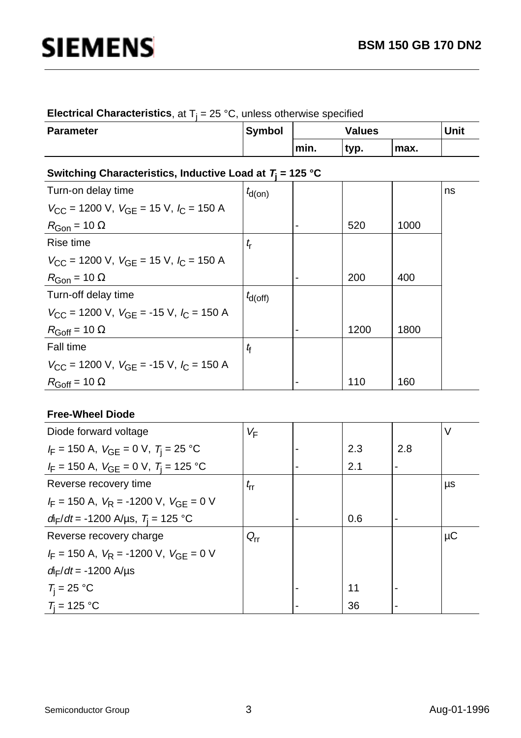| <b>Electrical Characteristics</b> , at $T_i = 25 \degree C$ , unless otherwise specified |  |  |  |  |
|------------------------------------------------------------------------------------------|--|--|--|--|
|------------------------------------------------------------------------------------------|--|--|--|--|

| <b>Parameter</b> | <b>Symbol</b> |      | <b>Values</b> |      | <b>Unit</b> |
|------------------|---------------|------|---------------|------|-------------|
|                  |               | min. | 'typ.         | max. |             |

## **Switching Characteristics, Inductive Load at T<sup>j</sup> = 125 °C**

| Turn-on delay time                                                        | $t_{d(0n)}$  |                          |      |      | ns |
|---------------------------------------------------------------------------|--------------|--------------------------|------|------|----|
| $V_{\rm CC}$ = 1200 V, $V_{\rm GF}$ = 15 V, $I_{\rm C}$ = 150 A           |              |                          |      |      |    |
| $R_{\text{Gon}}$ = 10 $\Omega$                                            |              | $\blacksquare$           | 520  | 1000 |    |
| Rise time                                                                 | $t_{\rm r}$  |                          |      |      |    |
| $V_{\rm CC}$ = 1200 V, $V_{\rm GF}$ = 15 V, $I_{\rm C}$ = 150 A           |              |                          |      |      |    |
| $R_{\text{Gon}}$ = 10 $\Omega$                                            |              |                          | 200  | 400  |    |
| Turn-off delay time                                                       | $t_{d(Off)}$ |                          |      |      |    |
| $V_{\rm CC}$ = 1200 V, $V_{\rm GF}$ = -15 V, $I_{\rm C}$ = 150 A          |              |                          |      |      |    |
| $R_{\text{Goff}} = 10 \Omega$                                             |              | ۰                        | 1200 | 1800 |    |
| <b>Fall time</b>                                                          | $t_{\rm f}$  |                          |      |      |    |
| $V_{\text{CC}}$ = 1200 V, $V_{\text{GF}}$ = -15 V, $I_{\text{C}}$ = 150 A |              |                          |      |      |    |
| $R_{\text{Goff}}$ = 10 $\Omega$                                           |              | $\overline{\phantom{0}}$ | 110  | 160  |    |

### **Free-Wheel Diode**

| Diode forward voltage                                   | VF              |   |     |     | V       |
|---------------------------------------------------------|-----------------|---|-----|-----|---------|
| $I_F$ = 150 A, $V_{GE}$ = 0 V, $T_i$ = 25 °C            |                 |   | 2.3 | 2.8 |         |
| $I_F$ = 150 A, $V_{GE}$ = 0 V, $T_i$ = 125 °C           |                 |   | 2.1 |     |         |
| Reverse recovery time                                   | $t_{\rm rr}$    |   |     |     | μs      |
| $I_F = 150$ A, $V_R = -1200$ V, $V_{GF} = 0$ V          |                 |   |     |     |         |
| $d_{\text{F}}/dt$ = -1200 A/µs, $T_{\text{i}}$ = 125 °C |                 | - | 0.6 | -   |         |
| Reverse recovery charge                                 | $Q_{\text{rr}}$ |   |     |     | $\mu$ C |
| $I_F = 150$ A, $V_R = -1200$ V, $V_{GF} = 0$ V          |                 |   |     |     |         |
| $d_{\rm F}/dt = -1200 \;{\rm A/}\mu{\rm s}$             |                 |   |     |     |         |
| $T_i = 25 °C$                                           |                 |   | 11  |     |         |
| $T_i = 125 °C$                                          |                 |   | 36  |     |         |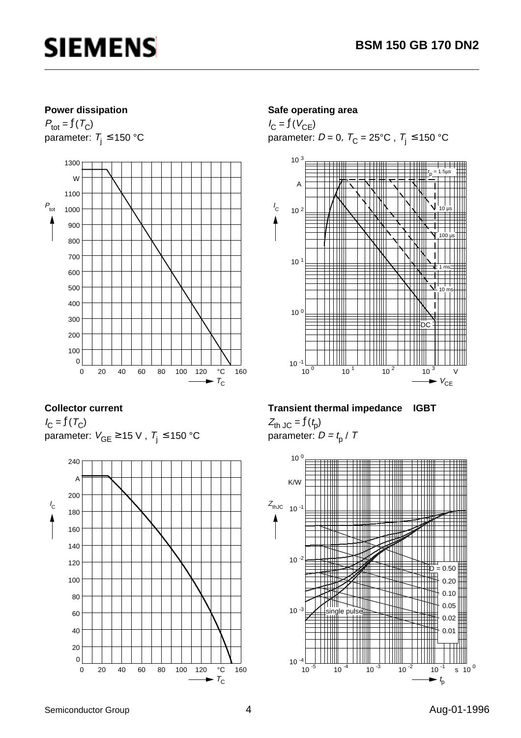

#### **Power dissipation**

 $P_{\text{tot}} = f(T_C)$ parameter:  $T_i \le 150$  °C



#### **Collector current**

 $I_{\rm C} = f(T_{\rm C})$ parameter:  $V_{GE} \ge 15$  V,  $T_i \le 150$  °C



#### **Safe operating area**

 $I_{\rm C} = f(V_{\rm CE})$ parameter:  $D = 0$ ,  $T_C = 25^{\circ}$ C,  $T_j \le 150^{\circ}$ C



#### **Transient thermal impedance IGBT**

 $Z_{\text{th JC}} = f(t_{\text{p}})$ parameter:  $D = t_0 / T$ 

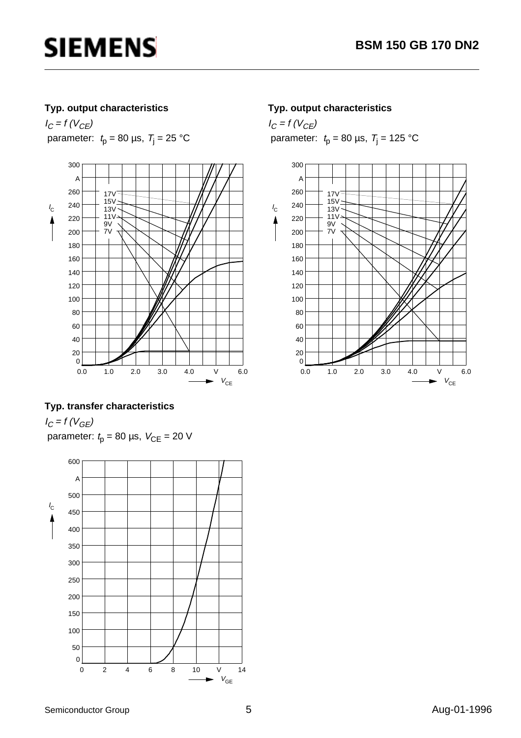### **Typ. output characteristics**

 $I_C = f (V_{CE})$ parameter:  $t_p = 80 \text{ }\mu\text{s}, \ T_j = 25 \text{ }^{\circ}\text{C}$ 



### **Typ. transfer characteristics**

 $I_C = f (V_{GE})$ parameter:  $t_p = 80 \text{ }\mu\text{s}, V_{CE} = 20 \text{ V}$ 



### **Typ. output characteristics**

 $I_C = f (V_{CE})$ parameter:  $t_p = 80 \text{ }\mu\text{s}, \ T_j = 125 \text{ }^\circ\text{C}$ 

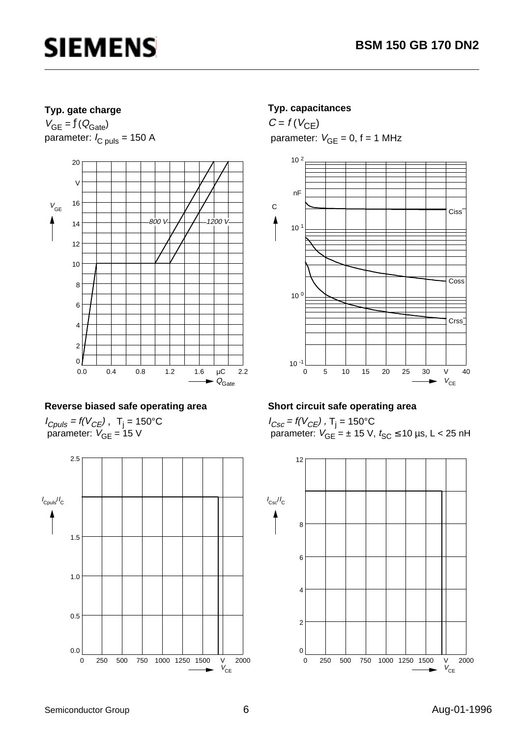### **Typ. gate charge**

 $V_{GE} = f(Q_{Gate})$ parameter:  $I_{C \text{ puls}} = 150 \text{ A}$ 



### **Reverse biased safe operating area**

 $I_{Cpuls}$  = f(V<sub>CE</sub>), T<sub>j</sub> = 150°C parameter:  $V_{GE}$  = 15 V



### **Typ. capacitances**

 $C = f(V_{CE})$ parameter:  $V_{GE} = 0$ ,  $f = 1$  MHz



## **Short circuit safe operating area**

 $I_{Csc}$  = f(V $_{CE}$ ) , T<sub>j</sub> = 150°C parameter:  $V_{GE}$  =  $\pm$  15 V,  $t_{SC}$   $\leq$  10 µs, L < 25 nH

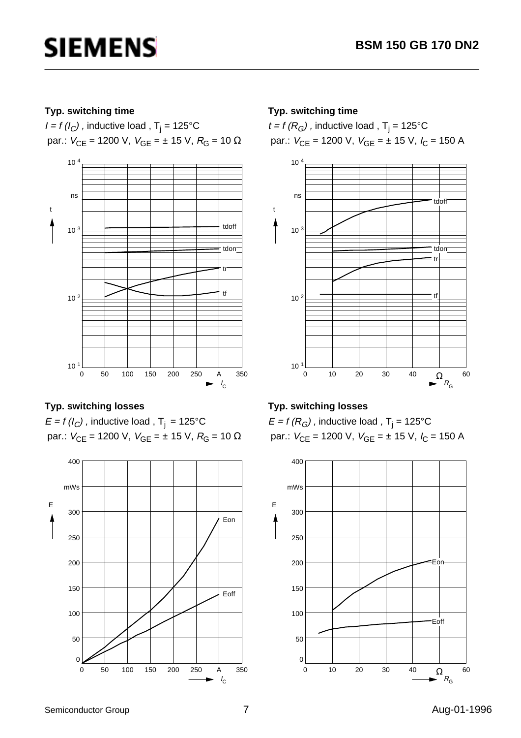### **Typ. switching time**

*I = f (I<sub>C</sub>)* , inductive load , T<sub>j</sub> = 125°C par.:  $V_{CE}$  = 1200 V,  $V_{GE}$  = ± 15 V,  $R_G$  = 10 Ω



## **Typ. switching losses**

 $E = f(l_C)$ , inductive load, T<sub>j</sub> = 125°C par.:  $V_{CE}$  = 1200 V,  $V_{GE}$  = ± 15 V,  $R_G$  = 10 Ω



### **Typ. switching time**

 $t$  = f (R<sub>G</sub>) , inductive load , T<sub>j</sub> = 125°C par.:  $V_{CE}$  = 1200 V,  $V_{GE}$  =  $\pm$  15 V,  $I_C$  = 150 A



## **Typ. switching losses**

 $\mathsf{E}$  = f (R $_{G}$ ) , inductive load , T $_{\mathsf{j}}$  = 125°C par.:  $V_{CE}$  = 1200 V,  $V_{GE}$  =  $\pm$  15 V,  $I_C$  = 150 A

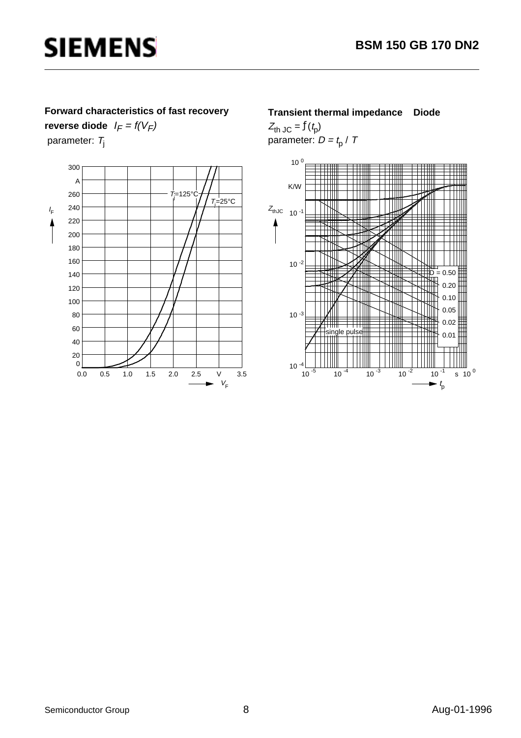### **Forward characteristics of fast recovery**

**reverse diode**  $I_F = f(V_F)$ parameter:  $T_j$ 



#### **Transient thermal impedance Diode**

 $Z_{\text{th JC}} = f(t_{\text{p}})$ parameter:  $D = t_{\rm p}$  / T